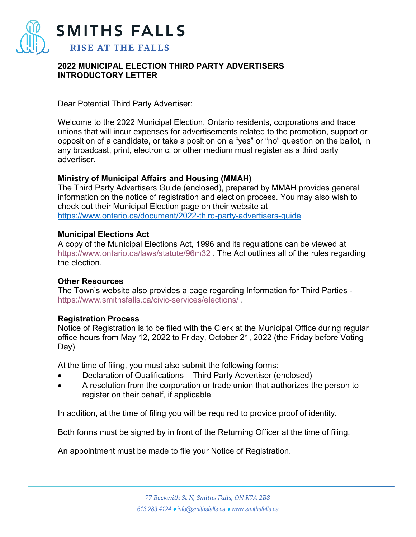

## **2022 MUNICIPAL ELECTION THIRD PARTY ADVERTISERS INTRODUCTORY LETTER**

Dear Potential Third Party Advertiser:

Welcome to the 2022 Municipal Election. Ontario residents, corporations and trade unions that will incur expenses for advertisements related to the promotion, support or opposition of a candidate, or take a position on a "yes" or "no" question on the ballot, in any broadcast, print, electronic, or other medium must register as a third party advertiser.

### **Ministry of Municipal Affairs and Housing (MMAH)**

The Third Party Advertisers Guide (enclosed), prepared by MMAH provides general information on the notice of registration and election process. You may also wish to check out their Municipal Election page on their website at <https://www.ontario.ca/document/2022-third-party-advertisers-guide>

### **Municipal Elections Act**

A copy of the Municipal Elections Act, 1996 and its regulations can be viewed at <https://www.ontario.ca/laws/statute/96m32> . The Act outlines all of the rules regarding the election.

### **Other Resources**

The Town's website also provides a page regarding Information for Third Parties <https://www.smithsfalls.ca/civic-services/elections/> .

### **Registration Process**

Notice of Registration is to be filed with the Clerk at the Municipal Office during regular office hours from May 12, 2022 to Friday, October 21, 2022 (the Friday before Voting Day)

At the time of filing, you must also submit the following forms:

- Declaration of Qualifications Third Party Advertiser (enclosed)
- A resolution from the corporation or trade union that authorizes the person to register on their behalf, if applicable

In addition, at the time of filing you will be required to provide proof of identity.

Both forms must be signed by in front of the Returning Officer at the time of filing.

An appointment must be made to file your Notice of Registration.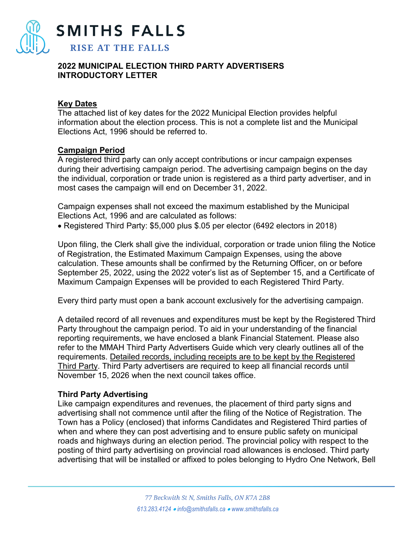

**SMITHS FALLS** 

**RISE AT THE FALLS** 

**2022 MUNICIPAL ELECTION THIRD PARTY ADVERTISERS** 

**INTRODUCTORY LETTER** 

### **Key Dates**

The attached list of key dates for the 2022 Municipal Election provides helpful information about the election process. This is not a complete list and the Municipal Elections Act, 1996 should be referred to.

# **Campaign Period**

A registered third party can only accept contributions or incur campaign expenses during their advertising campaign period. The advertising campaign begins on the day the individual, corporation or trade union is registered as a third party advertiser, and in most cases the campaign will end on December 31, 2022.

Campaign expenses shall not exceed the maximum established by the Municipal Elections Act, 1996 and are calculated as follows:

• Registered Third Party: \$5,000 plus \$.05 per elector (6492 electors in 2018)

Upon filing, the Clerk shall give the individual, corporation or trade union filing the Notice of Registration, the Estimated Maximum Campaign Expenses, using the above calculation. These amounts shall be confirmed by the Returning Officer, on or before September 25, 2022, using the 2022 voter's list as of September 15, and a Certificate of Maximum Campaign Expenses will be provided to each Registered Third Party.

Every third party must open a bank account exclusively for the advertising campaign.

A detailed record of all revenues and expenditures must be kept by the Registered Third Party throughout the campaign period. To aid in your understanding of the financial reporting requirements, we have enclosed a blank Financial Statement. Please also refer to the MMAH Third Party Advertisers Guide which very clearly outlines all of the requirements. Detailed records, including receipts are to be kept by the Registered Third Party. Third Party advertisers are required to keep all financial records until November 15, 2026 when the next council takes office.

# **Third Party Advertising**

Like campaign expenditures and revenues, the placement of third party signs and advertising shall not commence until after the filing of the Notice of Registration. The Town has a Policy (enclosed) that informs Candidates and Registered Third parties of when and where they can post advertising and to ensure public safety on municipal roads and highways during an election period. The provincial policy with respect to the posting of third party advertising on provincial road allowances is enclosed. Third party advertising that will be installed or affixed to poles belonging to Hydro One Network, Bell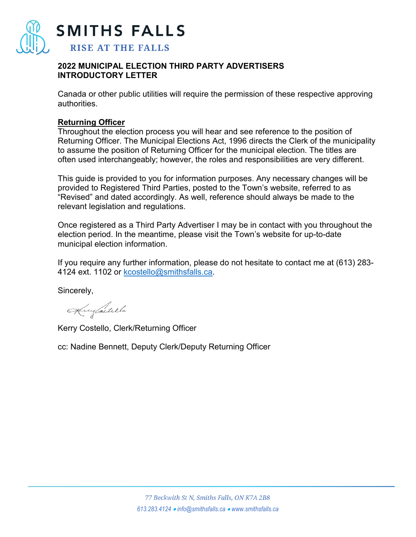

**SMITHS FALLS** 

# **RISE AT THE FALLS**

### **2022 MUNICIPAL ELECTION THIRD PARTY ADVERTISERS INTRODUCTORY LETTER**

Canada or other public utilities will require the permission of these respective approving authorities.

## **Returning Officer**

Throughout the election process you will hear and see reference to the position of Returning Officer. The Municipal Elections Act, 1996 directs the Clerk of the municipality to assume the position of Returning Officer for the municipal election. The titles are often used interchangeably; however, the roles and responsibilities are very different.

This guide is provided to you for information purposes. Any necessary changes will be provided to Registered Third Parties, posted to the Town's website, referred to as "Revised" and dated accordingly. As well, reference should always be made to the relevant legislation and regulations.

Once registered as a Third Party Advertiser I may be in contact with you throughout the election period. In the meantime, please visit the Town's website for up-to-date municipal election information.

If you require any further information, please do not hesitate to contact me at (613) 283 4124 ext. 1102 or [kcostello@smithsfalls.ca.](mailto:kcostello@smithsfalls.ca)

Sincerely,

Kinfastillo

Kerry Costello, Clerk/Returning Officer

cc: Nadine Bennett, Deputy Clerk/Deputy Returning Officer